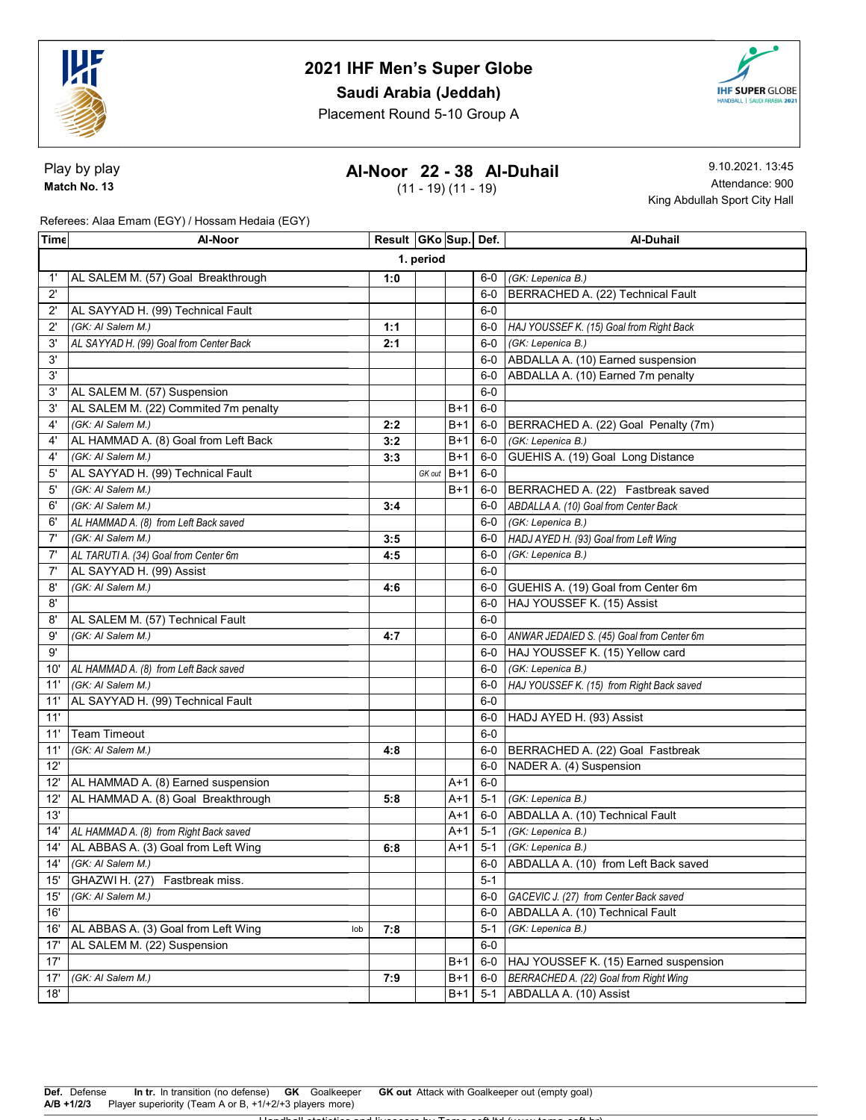

## Saudi Arabia (Jeddah)

Placement Round 5-10 Group A



Play by play Match No. 13

## Al-Noor 22 - 38 Al-Duhail

(11 - 19) (11 - 19)

9.10.2021. 13:45 Attendance: 900 King Abdullah Sport City Hall

Referees: Alaa Emam (EGY) / Hossam Hedaia (EGY)

| Time         | Al-Noor                                    | Result   GKo   Sup   Def. |        |       |         | Al-Duhail                                 |  |  |
|--------------|--------------------------------------------|---------------------------|--------|-------|---------|-------------------------------------------|--|--|
|              | 1. period                                  |                           |        |       |         |                                           |  |  |
| 1'           | AL SALEM M. (57) Goal Breakthrough         | 1:0                       |        |       |         | 6-0 (GK: Lepenica B.)                     |  |  |
| $2^{\prime}$ |                                            |                           |        |       | $6-0$   | BERRACHED A. (22) Technical Fault         |  |  |
| $2^{\prime}$ | AL SAYYAD H. (99) Technical Fault          |                           |        |       | $6-0$   |                                           |  |  |
| $2^{\prime}$ | (GK: AI Salem M.)                          | 1:1                       |        |       | 6-0     | HAJ YOUSSEF K. (15) Goal from Right Back  |  |  |
| 3'           | AL SAYYAD H. (99) Goal from Center Back    | 2:1                       |        |       | $6-0$   | (GK: Lepenica B.)                         |  |  |
| 3'           |                                            |                           |        |       | 6-0     | ABDALLA A. (10) Earned suspension         |  |  |
| 3'           |                                            |                           |        |       | $6-0$   | ABDALLA A. (10) Earned 7m penalty         |  |  |
| 3'           | AL SALEM M. (57) Suspension                |                           |        |       | $6-0$   |                                           |  |  |
| 3'           | AL SALEM M. (22) Commited 7m penalty       |                           |        | $B+1$ | $6-0$   |                                           |  |  |
| $4^{\circ}$  | (GK: AI Salem M.)                          | 2:2                       |        | B+1   | 6-0     | BERRACHED A. (22) Goal Penalty (7m)       |  |  |
| $4^{\circ}$  | AL HAMMAD A. (8) Goal from Left Back       | 3:2                       |        | B+1   | 6-0     | (GK: Lepenica B.)                         |  |  |
| 4'           | (GK: AI Salem M.)                          | 3:3                       |        | B+1   | $6-0$   | GUEHIS A. (19) Goal Long Distance         |  |  |
| 5'           | AL SAYYAD H. (99) Technical Fault          |                           | GK out | $B+1$ | $6-0$   |                                           |  |  |
| 5'           | (GK: AI Salem M.)                          |                           |        | B+1   | 6-0     | BERRACHED A. (22) Fastbreak saved         |  |  |
| 6'           | (GK: AI Salem M.)                          | 3:4                       |        |       |         | 6-0 ABDALLA A. (10) Goal from Center Back |  |  |
| 6'           | AL HAMMAD A. (8) from Left Back saved      |                           |        |       | $6-0$   | (GK: Lepenica B.)                         |  |  |
| 7'           | (GK: AI Salem M.)                          | 3:5                       |        |       | 6-0     | HADJ AYED H. (93) Goal from Left Wing     |  |  |
| 7'           | AL TARUTI A. (34) Goal from Center 6m      | 4:5                       |        |       | 6-0     | (GK: Lepenica B.)                         |  |  |
| 7'           | AL SAYYAD H. (99) Assist                   |                           |        |       | $6-0$   |                                           |  |  |
| 8'           | (GK: AI Salem M.)                          | 4:6                       |        |       | $6-0$   | GUEHIS A. (19) Goal from Center 6m        |  |  |
| 8'           |                                            |                           |        |       | $6-0$   | HAJ YOUSSEF K. (15) Assist                |  |  |
| 8'           | AL SALEM M. (57) Technical Fault           |                           |        |       | $6-0$   |                                           |  |  |
| 9'           | (GK: Al Salem M.)                          | 4:7                       |        |       | 6-0     | ANWAR JEDAIED S. (45) Goal from Center 6m |  |  |
| 9'           |                                            |                           |        |       | 6-0     | HAJ YOUSSEF K. (15) Yellow card           |  |  |
| 10'          | AL HAMMAD A. (8) from Left Back saved      |                           |        |       | $6-0$   | (GK: Lepenica B.)                         |  |  |
| 11'          | (GK: AI Salem M.)                          |                           |        |       | 6-0     | HAJ YOUSSEF K. (15) from Right Back saved |  |  |
| 11'          | AL SAYYAD H. (99) Technical Fault          |                           |        |       | $6-0$   |                                           |  |  |
| 11'          |                                            |                           |        |       |         | 6-0 HADJ AYED H. (93) Assist              |  |  |
| 11'          | <b>Team Timeout</b>                        |                           |        |       | $6-0$   |                                           |  |  |
| 11'          | (GK: AI Salem M.)                          | 4:8                       |        |       | $6-0$   | BERRACHED A. (22) Goal Fastbreak          |  |  |
| 12'          |                                            |                           |        |       | $6-0$   | NADER A. (4) Suspension                   |  |  |
| 12'          | AL HAMMAD A. (8) Earned suspension         |                           |        | $A+1$ | $6-0$   |                                           |  |  |
| 12'          | AL HAMMAD A. (8) Goal Breakthrough         | 5:8                       |        | $A+1$ | $5 - 1$ | (GK: Lepenica B.)                         |  |  |
| 13'          |                                            |                           |        | $A+1$ | 6-0     | ABDALLA A. (10) Technical Fault           |  |  |
|              | 14' AL HAMMAD A. (8) from Right Back saved |                           |        | A+1   | $5 - 1$ | (GK: Lepenica B.)                         |  |  |
|              | 14' AL ABBAS A. (3) Goal from Left Wing    | 6:8                       |        | A+1   | $5 - 1$ | (GK: Lepenica B.)                         |  |  |
| 14'          | (GK: AI Salem M.)                          |                           |        |       |         | 6-0 ABDALLA A. (10) from Left Back saved  |  |  |
| $15^{\circ}$ | GHAZWI H. (27)<br>Fastbreak miss.          |                           |        |       | $5 - 1$ |                                           |  |  |
| 15'          | (GK: AI Salem M.)                          |                           |        |       | $6-0$   | GACEVIC J. (27) from Center Back saved    |  |  |
| 16'          |                                            |                           |        |       | $6-0$   | ABDALLA A. (10) Technical Fault           |  |  |
| 16'          | AL ABBAS A. (3) Goal from Left Wing<br>lob | 7:8                       |        |       | $5 - 1$ | (GK: Lepenica B.)                         |  |  |
| 17'          | AL SALEM M. (22) Suspension                |                           |        |       | $6-0$   |                                           |  |  |
| 17'          |                                            |                           |        | B+1   | $6-0$   | HAJ YOUSSEF K. (15) Earned suspension     |  |  |
| 17'          | (GK: AI Salem M.)                          | 7:9                       |        | $B+1$ | $6-0$   | BERRACHED A. (22) Goal from Right Wing    |  |  |
| 18'          |                                            |                           |        | $B+1$ | $5 - 1$ | ABDALLA A. (10) Assist                    |  |  |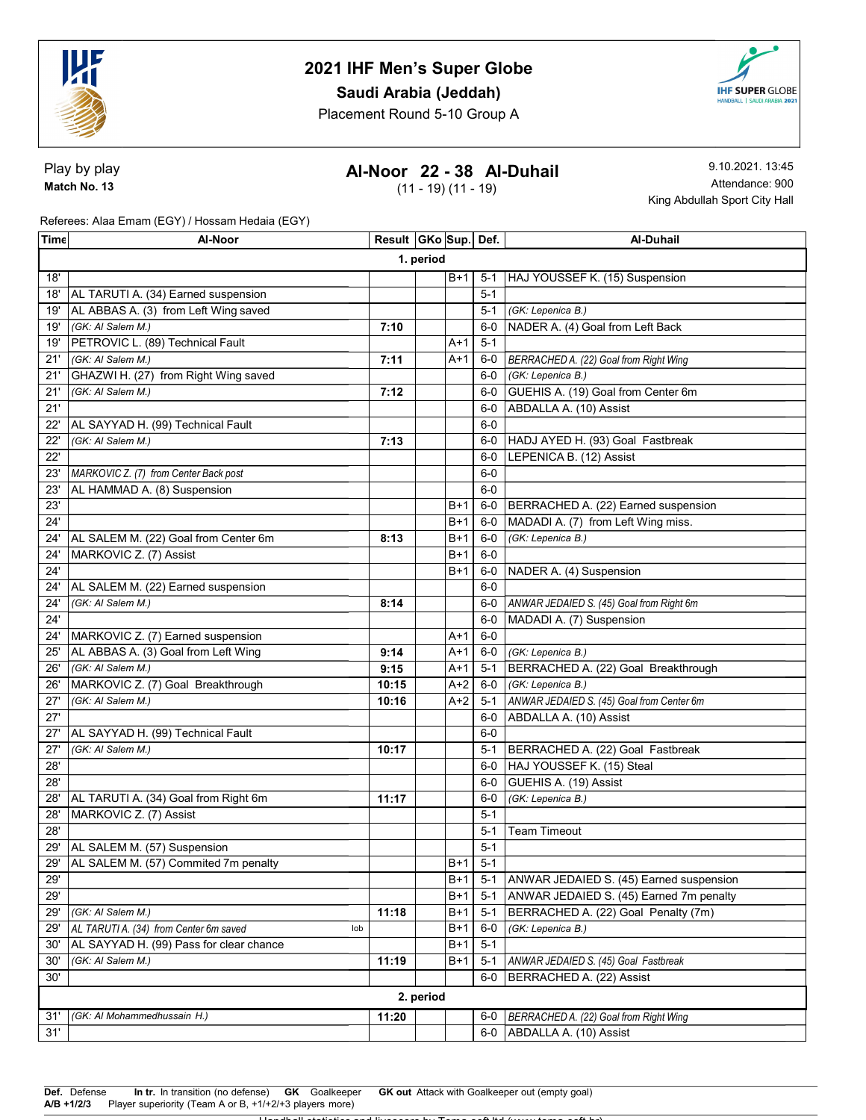

Saudi Arabia (Jeddah)

Placement Round 5-10 Group A



Play by play Match No. 13

## Al-Noor 22 - 38 Al-Duhail

(11 - 19) (11 - 19)

9.10.2021. 13:45 Attendance: 900 King Abdullah Sport City Hall

Referees: Alaa Emam (EGY) / Hossam Hedaia (EGY)

| Time | Al-Noor                                       | Result GKo Sup. Def. |  |       |         | Al-Duhail                                 |  |  |  |
|------|-----------------------------------------------|----------------------|--|-------|---------|-------------------------------------------|--|--|--|
|      | 1. period                                     |                      |  |       |         |                                           |  |  |  |
| 18'  |                                               |                      |  | $B+1$ | $5-1$   | HAJ YOUSSEF K. (15) Suspension            |  |  |  |
| 18'  | AL TARUTI A. (34) Earned suspension           |                      |  |       | $5 - 1$ |                                           |  |  |  |
| 19'  | AL ABBAS A. (3) from Left Wing saved          |                      |  |       | $5 - 1$ | (GK: Lepenica B.)                         |  |  |  |
| 19'  | (GK: AI Salem M.)                             | 7:10                 |  |       | $6-0$   | NADER A. (4) Goal from Left Back          |  |  |  |
| 19'  | PETROVIC L. (89) Technical Fault              |                      |  | $A+1$ | $5 - 1$ |                                           |  |  |  |
| 21'  | (GK: AI Salem M.)                             | 7:11                 |  | $A+1$ | 6-0     | BERRACHED A. (22) Goal from Right Wing    |  |  |  |
| 21'  | GHAZWI H. (27) from Right Wing saved          |                      |  |       | $6-0$   | (GK: Lepenica B.)                         |  |  |  |
| 21'  | (GK: AI Salem M.)                             | 7:12                 |  |       | $6-0$   | GUEHIS A. (19) Goal from Center 6m        |  |  |  |
| 21'  |                                               |                      |  |       | $6-0$   | ABDALLA A. (10) Assist                    |  |  |  |
| 22'  | AL SAYYAD H. (99) Technical Fault             |                      |  |       | $6-0$   |                                           |  |  |  |
| 22'  | (GK: AI Salem M.)                             | 7:13                 |  |       | 6-0     | HADJ AYED H. (93) Goal Fastbreak          |  |  |  |
| 22'  |                                               |                      |  |       | $6-0$   | LEPENICA B. (12) Assist                   |  |  |  |
| 23'  | MARKOVIC Z. (7) from Center Back post         |                      |  |       | $6-0$   |                                           |  |  |  |
| 23'  | AL HAMMAD A. (8) Suspension                   |                      |  |       | $6-0$   |                                           |  |  |  |
| 23'  |                                               |                      |  | B+1   | 6-0     | BERRACHED A. (22) Earned suspension       |  |  |  |
| 24'  |                                               |                      |  | $B+1$ | $6-0$   | MADADI A. (7) from Left Wing miss.        |  |  |  |
| 24'  | AL SALEM M. (22) Goal from Center 6m          | 8:13                 |  | B+1   | $6-0$   | (GK: Lepenica B.)                         |  |  |  |
| 24'  | MARKOVIC Z. (7) Assist                        |                      |  | $B+1$ | $6-0$   |                                           |  |  |  |
| 24'  |                                               |                      |  | B+1   | 6-0     | NADER A. (4) Suspension                   |  |  |  |
| 24'  | AL SALEM M. (22) Earned suspension            |                      |  |       | $6-0$   |                                           |  |  |  |
| 24'  | (GK: AI Salem M.)                             | 8:14                 |  |       | 6-0     | ANWAR JEDAIED S. (45) Goal from Right 6m  |  |  |  |
| 24'  |                                               |                      |  |       | $6-0$   | MADADI A. (7) Suspension                  |  |  |  |
| 24'  | MARKOVIC Z. (7) Earned suspension             |                      |  | $A+1$ | $6-0$   |                                           |  |  |  |
| 25'  | AL ABBAS A. (3) Goal from Left Wing           | 9:14                 |  | $A+1$ | $6-0$   | (GK: Lepenica B.)                         |  |  |  |
| 26'  | (GK: AI Salem M.)                             | 9:15                 |  | $A+1$ | $5 - 1$ | BERRACHED A. (22) Goal Breakthrough       |  |  |  |
| 26'  | MARKOVIC Z. (7) Goal Breakthrough             | 10:15                |  | A+2   | $6-0$   | (GK: Lepenica B.)                         |  |  |  |
| 27'  | (GK: AI Salem M.)                             | 10:16                |  | $A+2$ | $5 - 1$ | ANWAR JEDAIED S. (45) Goal from Center 6m |  |  |  |
| 27'  |                                               |                      |  |       | 6-0     | ABDALLA A. (10) Assist                    |  |  |  |
| 27'  | AL SAYYAD H. (99) Technical Fault             |                      |  |       | $6-0$   |                                           |  |  |  |
| 27'  | (GK: Al Salem M.)                             | 10:17                |  |       | $5-1$   | BERRACHED A. (22) Goal Fastbreak          |  |  |  |
| 28'  |                                               |                      |  |       | $6-0$   | HAJ YOUSSEF K. (15) Steal                 |  |  |  |
| 28'  |                                               |                      |  |       | $6-0$   | GUEHIS A. (19) Assist                     |  |  |  |
| 28'  | AL TARUTI A. (34) Goal from Right 6m          | 11:17                |  |       | $6-0$   | (GK: Lepenica B.)                         |  |  |  |
| 28'  | MARKOVIC Z. (7) Assist                        |                      |  |       | $5 - 1$ |                                           |  |  |  |
| 28'  |                                               |                      |  |       | $5 - 1$ | <b>Team Timeout</b>                       |  |  |  |
|      | 29'   AL SALEM M. (57) Suspension             |                      |  |       | $5 - 1$ |                                           |  |  |  |
| 29'  | AL SALEM M. (57) Commited 7m penalty          |                      |  | $B+1$ | $5-1$   |                                           |  |  |  |
| 29'  |                                               |                      |  | $B+1$ | $5 - 1$ | ANWAR JEDAIED S. (45) Earned suspension   |  |  |  |
| 29'  |                                               |                      |  | $B+1$ | $5 - 1$ | ANWAR JEDAIED S. (45) Earned 7m penalty   |  |  |  |
| 29'  | (GK: AI Salem M.)                             | 11:18                |  | B+1   | $5 - 1$ | BERRACHED A. (22) Goal Penalty (7m)       |  |  |  |
| 29'  | AL TARUTI A. (34) from Center 6m saved<br>lob |                      |  | B+1   | $6-0$   | (GK: Lepenica B.)                         |  |  |  |
| 30'  | AL SAYYAD H. (99) Pass for clear chance       |                      |  | B+1   | $5 - 1$ |                                           |  |  |  |
| 30'  | (GK: Al Salem M.)                             | 11:19                |  | B+1   | $5 - 1$ | ANWAR JEDAIED S. (45) Goal Fastbreak      |  |  |  |
| 30'  |                                               |                      |  |       | $6-0$   | BERRACHED A. (22) Assist                  |  |  |  |
|      | 2. period                                     |                      |  |       |         |                                           |  |  |  |
| 31'  | (GK: Al Mohammedhussain H.)                   | 11:20                |  |       | 6-0     | BERRACHED A. (22) Goal from Right Wing    |  |  |  |
| 31'  |                                               |                      |  |       |         | 6-0 ABDALLA A. (10) Assist                |  |  |  |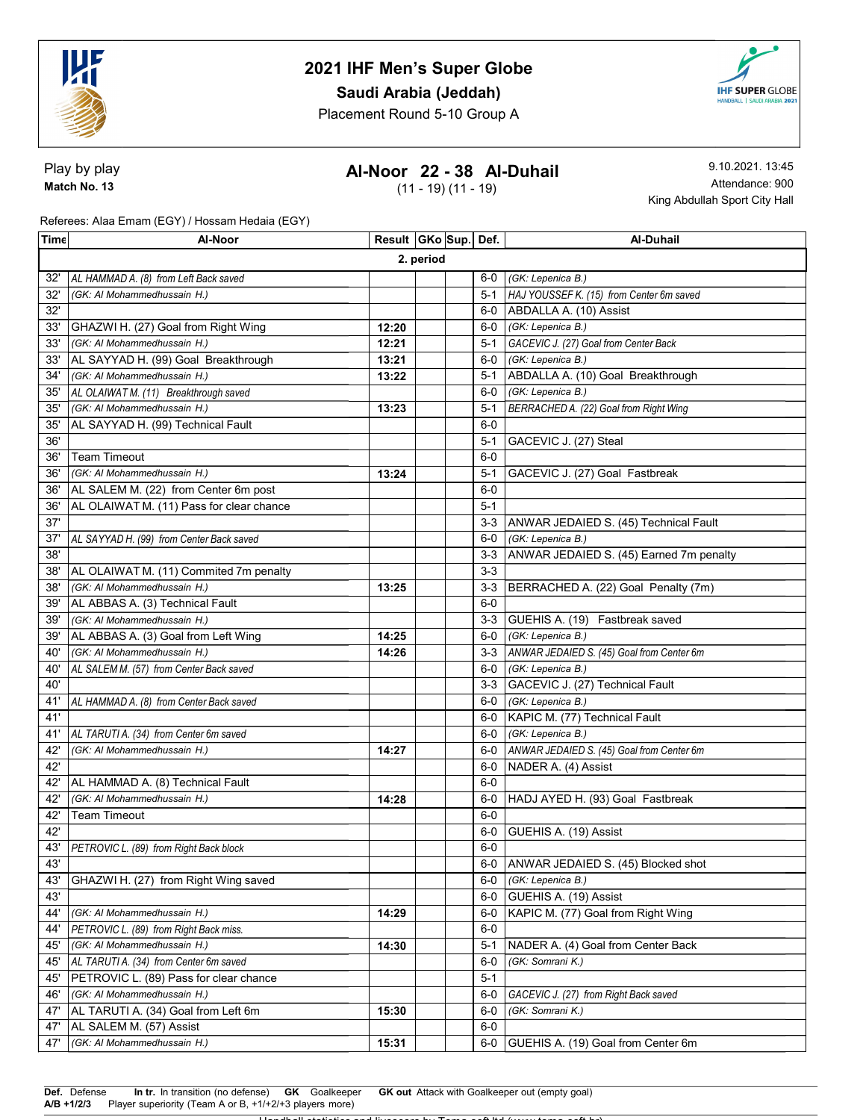

## Saudi Arabia (Jeddah)

Placement Round 5-10 Group A



Play by play Match No. 13

## Al-Noor 22 - 38 Al-Duhail

(11 - 19) (11 - 19)

9.10.2021. 13:45 Attendance: 900 King Abdullah Sport City Hall

Referees: Alaa Emam (EGY) / Hossam Hedaia (EGY)

| Time | Al-Noor                                                | Result GKo Sup. Def. |  |  |         | <b>Al-Duhail</b>                          |  |  |
|------|--------------------------------------------------------|----------------------|--|--|---------|-------------------------------------------|--|--|
|      | 2. period                                              |                      |  |  |         |                                           |  |  |
| 32'  | AL HAMMAD A. (8) from Left Back saved                  |                      |  |  |         | 6-0 (GK: Lepenica B.)                     |  |  |
| 32'  | (GK: Al Mohammedhussain H.)                            |                      |  |  | $5 - 1$ | HAJ YOUSSEF K. (15) from Center 6m saved  |  |  |
| 32'  |                                                        |                      |  |  | 6-0     | ABDALLA A. (10) Assist                    |  |  |
| 33'  | GHAZWI H. (27) Goal from Right Wing                    | 12:20                |  |  |         | 6-0 (GK: Lepenica B.)                     |  |  |
| 33'  | (GK: Al Mohammedhussain H.)                            | 12:21                |  |  | $5 - 1$ | GACEVIC J. (27) Goal from Center Back     |  |  |
| 33'  | AL SAYYAD H. (99) Goal Breakthrough                    | 13:21                |  |  |         | 6-0 (GK: Lepenica B.)                     |  |  |
| 34'  | (GK: Al Mohammedhussain H.)                            | 13:22                |  |  | $5-1$   | ABDALLA A. (10) Goal Breakthrough         |  |  |
| 35'  | AL OLAIWAT M. (11) Breakthrough saved                  |                      |  |  | $6-0$   | (GK: Lepenica B.)                         |  |  |
| 35'  | (GK: Al Mohammedhussain H.)                            | 13:23                |  |  | $5-1$   | BERRACHED A. (22) Goal from Right Wing    |  |  |
| 35'  | AL SAYYAD H. (99) Technical Fault                      |                      |  |  | $6-0$   |                                           |  |  |
| 36'  |                                                        |                      |  |  | $5-1$   | GACEVIC J. (27) Steal                     |  |  |
| 36'  | <b>Team Timeout</b>                                    |                      |  |  | $6-0$   |                                           |  |  |
| 36'  | (GK: Al Mohammedhussain H.)                            | 13:24                |  |  | $5 - 1$ | GACEVIC J. (27) Goal Fastbreak            |  |  |
| 36'  | AL SALEM M. (22) from Center 6m post                   |                      |  |  | $6-0$   |                                           |  |  |
| 36'  | AL OLAIWAT M. (11) Pass for clear chance               |                      |  |  | $5 - 1$ |                                           |  |  |
| 37'  |                                                        |                      |  |  | $3-3$   | ANWAR JEDAIED S. (45) Technical Fault     |  |  |
| 37'  | AL SAYYAD H. (99) from Center Back saved               |                      |  |  | 6-0     | (GK: Lepenica B.)                         |  |  |
| 38'  |                                                        |                      |  |  | $3 - 3$ | ANWAR JEDAIED S. (45) Earned 7m penalty   |  |  |
| 38'  | AL OLAIWAT M. (11) Commited 7m penalty                 |                      |  |  | $3-3$   |                                           |  |  |
| 38'  | (GK: Al Mohammedhussain H.)                            | 13:25                |  |  | $3-3$   | BERRACHED A. (22) Goal Penalty (7m)       |  |  |
| 39'  | AL ABBAS A. (3) Technical Fault                        |                      |  |  | $6-0$   |                                           |  |  |
| 39'  | (GK: Al Mohammedhussain H.)                            |                      |  |  | $3-3$   | GUEHIS A. (19) Fastbreak saved            |  |  |
| 39'  | AL ABBAS A. (3) Goal from Left Wing                    | 14:25                |  |  | 6-0     | (GK: Lepenica B.)                         |  |  |
| 40'  | (GK: Al Mohammedhussain H.)                            | 14:26                |  |  | $3-3$   | ANWAR JEDAIED S. (45) Goal from Center 6m |  |  |
| 40'  | AL SALEM M. (57) from Center Back saved                |                      |  |  | 6-0     | (GK: Lepenica B.)                         |  |  |
| 40'  |                                                        |                      |  |  | $3 - 3$ | GACEVIC J. (27) Technical Fault           |  |  |
| 41'  | AL HAMMAD A. (8) from Center Back saved                |                      |  |  |         | 6-0 (GK: Lepenica B.)                     |  |  |
| 41'  |                                                        |                      |  |  |         | 6-0   KAPIC M. (77) Technical Fault       |  |  |
| 41'  | AL TARUTI A. (34) from Center 6m saved                 |                      |  |  |         | 6-0 (GK: Lepenica B.)                     |  |  |
| 42'  | (GK: Al Mohammedhussain H.)                            | 14:27                |  |  | 6-0     | ANWAR JEDAIED S. (45) Goal from Center 6m |  |  |
| 42'  |                                                        |                      |  |  | 6-0     | NADER A. (4) Assist                       |  |  |
| 42'  | AL HAMMAD A. (8) Technical Fault                       |                      |  |  | $6-0$   |                                           |  |  |
| 42'  | (GK: Al Mohammedhussain H.)                            | 14:28                |  |  | 6-0     | HADJ AYED H. (93) Goal Fastbreak          |  |  |
| 42'  | <b>Team Timeout</b>                                    |                      |  |  | $6-0$   |                                           |  |  |
| 42'  |                                                        |                      |  |  | 6-0     | GUEHIS A. (19) Assist                     |  |  |
| 43'  | PETROVIC L. (89) from Right Back block                 |                      |  |  | $6-0$   |                                           |  |  |
| 43'  |                                                        |                      |  |  |         | 6-0 ANWAR JEDAIED S. (45) Blocked shot    |  |  |
| 43'  | GHAZWI H. (27) from Right Wing saved                   |                      |  |  | 6-0     | (GK: Lepenica B.)                         |  |  |
| 43'  |                                                        |                      |  |  | 6-0     | GUEHIS A. (19) Assist                     |  |  |
| 44'  | (GK: Al Mohammedhussain H.)                            | 14:29                |  |  | 6-0     | KAPIC M. (77) Goal from Right Wing        |  |  |
| 44'  | PETROVIC L. (89) from Right Back miss.                 |                      |  |  | $6-0$   |                                           |  |  |
| 45'  | (GK: Al Mohammedhussain H.)                            | 14:30                |  |  | 5-1     | NADER A. (4) Goal from Center Back        |  |  |
| 45'  | AL TARUTI A. (34) from Center 6m saved                 |                      |  |  | $6-0$   | (GK: Somrani K.)                          |  |  |
| 45'  | PETROVIC L. (89) Pass for clear chance                 |                      |  |  | $5 - 1$ |                                           |  |  |
| 46'  | (GK: Al Mohammedhussain H.)                            |                      |  |  | $6-0$   | GACEVIC J. (27) from Right Back saved     |  |  |
| 47'  | AL TARUTI A. (34) Goal from Left 6m                    | 15:30                |  |  | $6-0$   | (GK: Somrani K.)                          |  |  |
| 47'  | AL SALEM M. (57) Assist<br>(GK: Al Mohammedhussain H.) |                      |  |  | $6-0$   | 6-0 GUEHIS A. (19) Goal from Center 6m    |  |  |
| 47'  |                                                        | 15:31                |  |  |         |                                           |  |  |